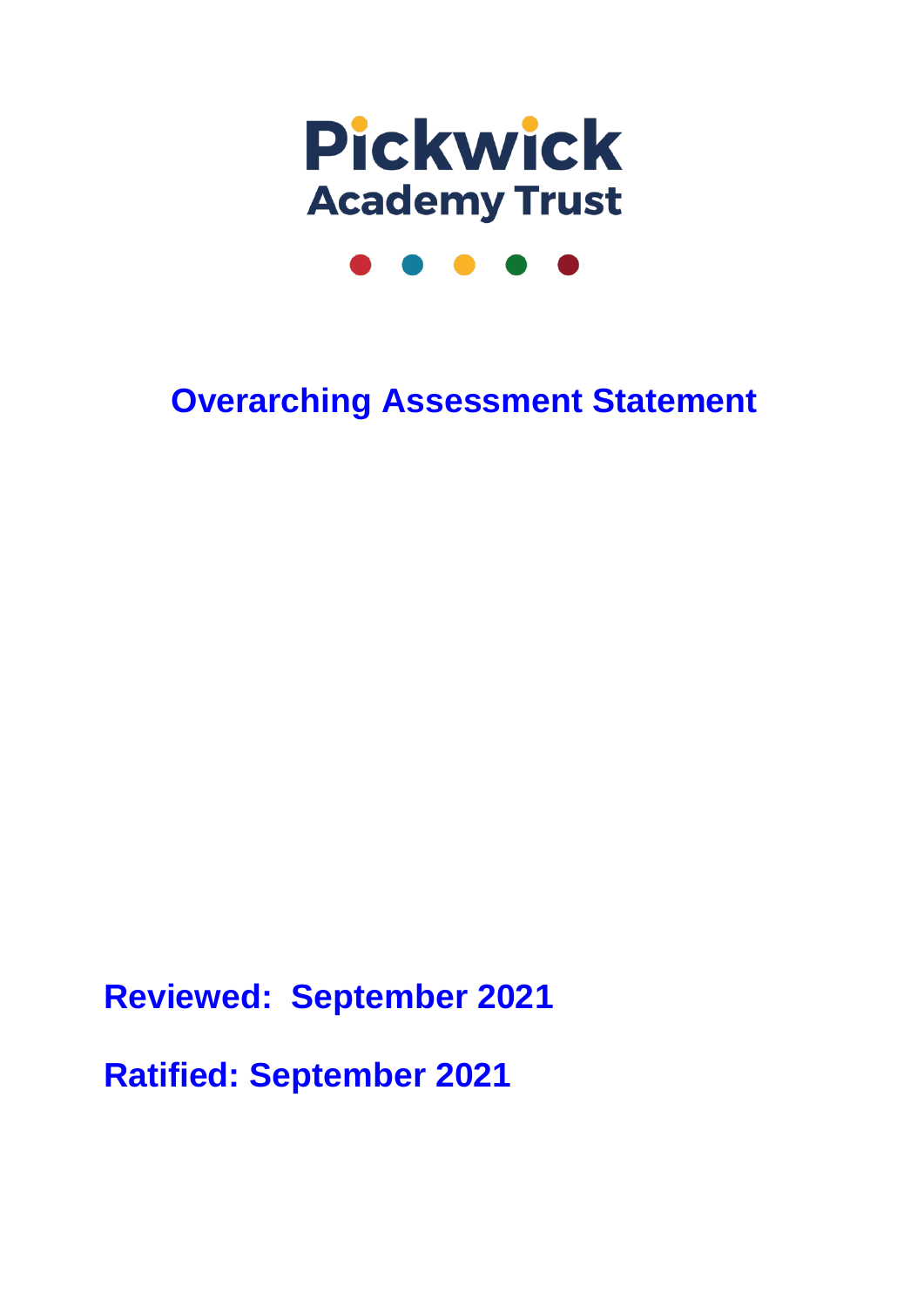

# **Overarching Assessment Statement**

**Reviewed: September 2021**

**Ratified: September 2021**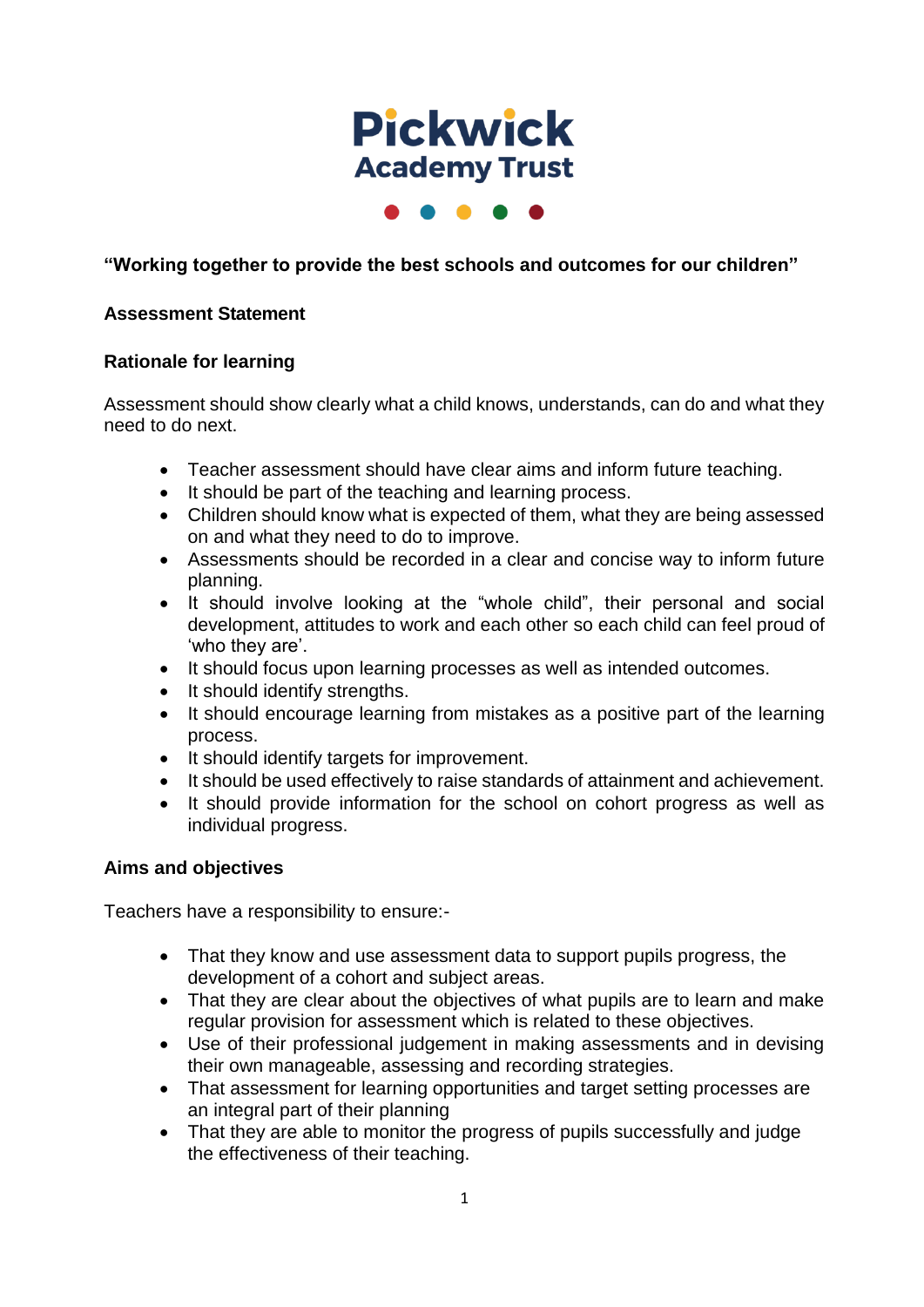

 $\bullet\hspace{0.2cm}\bullet\hspace{0.2cm}\bullet\hspace{0.2cm}\bullet$ 

## **"Working together to provide the best schools and outcomes for our children"**

#### **Assessment Statement**

#### **Rationale for learning**

Assessment should show clearly what a child knows, understands, can do and what they need to do next.

- Teacher assessment should have clear aims and inform future teaching.
- It should be part of the teaching and learning process.
- Children should know what is expected of them, what they are being assessed on and what they need to do to improve.
- Assessments should be recorded in a clear and concise way to inform future planning.
- It should involve looking at the "whole child", their personal and social development, attitudes to work and each other so each child can feel proud of 'who they are'.
- It should focus upon learning processes as well as intended outcomes.
- It should identify strengths.
- It should encourage learning from mistakes as a positive part of the learning process.
- It should identify targets for improvement.
- It should be used effectively to raise standards of attainment and achievement.
- It should provide information for the school on cohort progress as well as individual progress.

#### **Aims and objectives**

Teachers have a responsibility to ensure:-

- That they know and use assessment data to support pupils progress, the development of a cohort and subject areas.
- That they are clear about the objectives of what pupils are to learn and make regular provision for assessment which is related to these objectives.
- Use of their professional judgement in making assessments and in devising their own manageable, assessing and recording strategies.
- That assessment for learning opportunities and target setting processes are an integral part of their planning
- That they are able to monitor the progress of pupils successfully and judge the effectiveness of their teaching.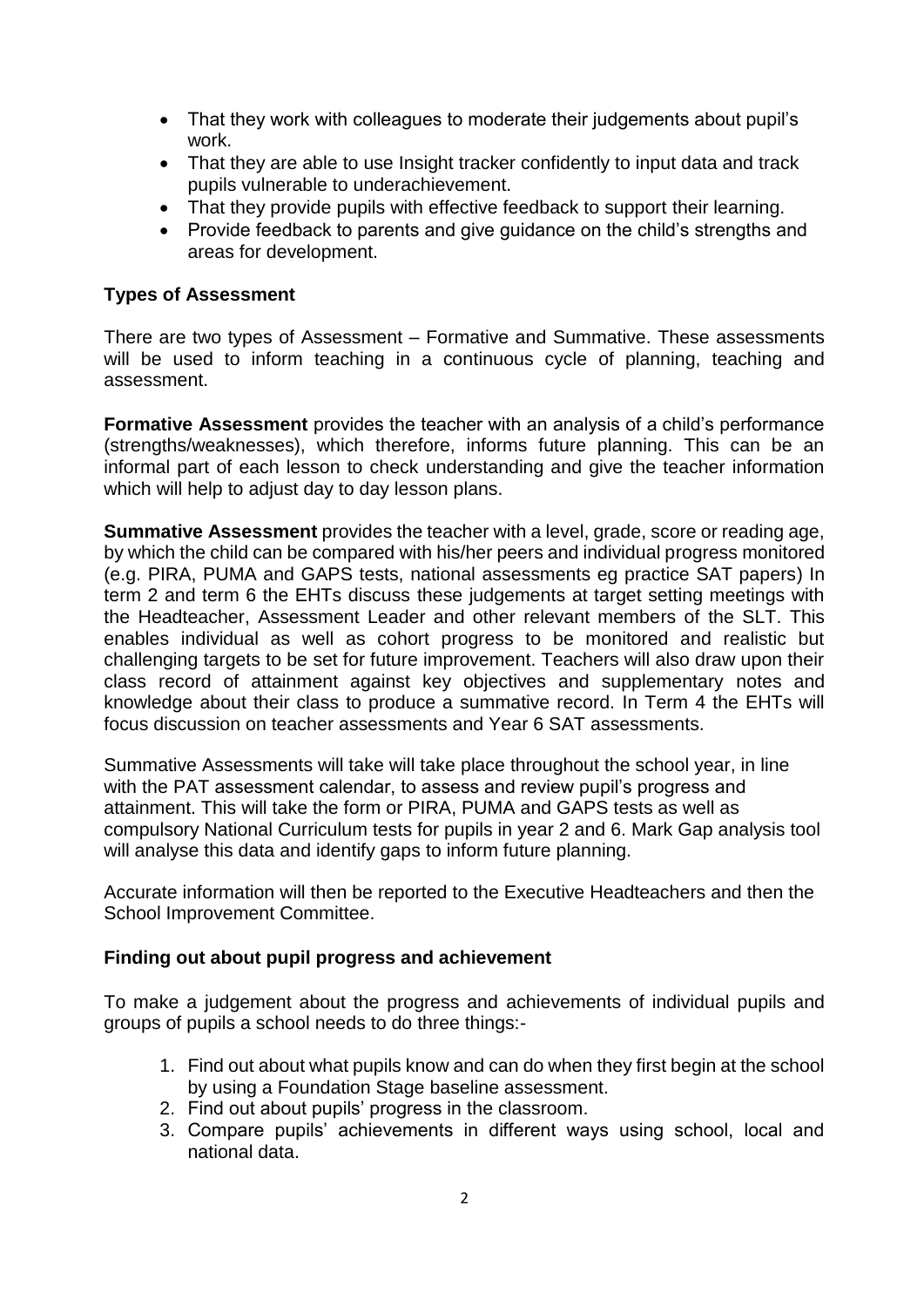- That they work with colleagues to moderate their judgements about pupil's work.
- That they are able to use Insight tracker confidently to input data and track pupils vulnerable to underachievement.
- That they provide pupils with effective feedback to support their learning.
- Provide feedback to parents and give guidance on the child's strengths and areas for development.

#### **Types of Assessment**

There are two types of Assessment – Formative and Summative. These assessments will be used to inform teaching in a continuous cycle of planning, teaching and assessment.

**Formative Assessment** provides the teacher with an analysis of a child's performance (strengths/weaknesses), which therefore, informs future planning. This can be an informal part of each lesson to check understanding and give the teacher information which will help to adjust day to day lesson plans.

**Summative Assessment** provides the teacher with a level, grade, score or reading age, by which the child can be compared with his/her peers and individual progress monitored (e.g. PIRA, PUMA and GAPS tests, national assessments eg practice SAT papers) In term 2 and term 6 the EHTs discuss these judgements at target setting meetings with the Headteacher, Assessment Leader and other relevant members of the SLT. This enables individual as well as cohort progress to be monitored and realistic but challenging targets to be set for future improvement. Teachers will also draw upon their class record of attainment against key objectives and supplementary notes and knowledge about their class to produce a summative record. In Term 4 the EHTs will focus discussion on teacher assessments and Year 6 SAT assessments.

Summative Assessments will take will take place throughout the school year, in line with the PAT assessment calendar, to assess and review pupil's progress and attainment. This will take the form or PIRA, PUMA and GAPS tests as well as compulsory National Curriculum tests for pupils in year 2 and 6. Mark Gap analysis tool will analyse this data and identify gaps to inform future planning.

Accurate information will then be reported to the Executive Headteachers and then the School Improvement Committee.

#### **Finding out about pupil progress and achievement**

To make a judgement about the progress and achievements of individual pupils and groups of pupils a school needs to do three things:-

- 1. Find out about what pupils know and can do when they first begin at the school by using a Foundation Stage baseline assessment.
- 2. Find out about pupils' progress in the classroom.
- 3. Compare pupils' achievements in different ways using school, local and national data.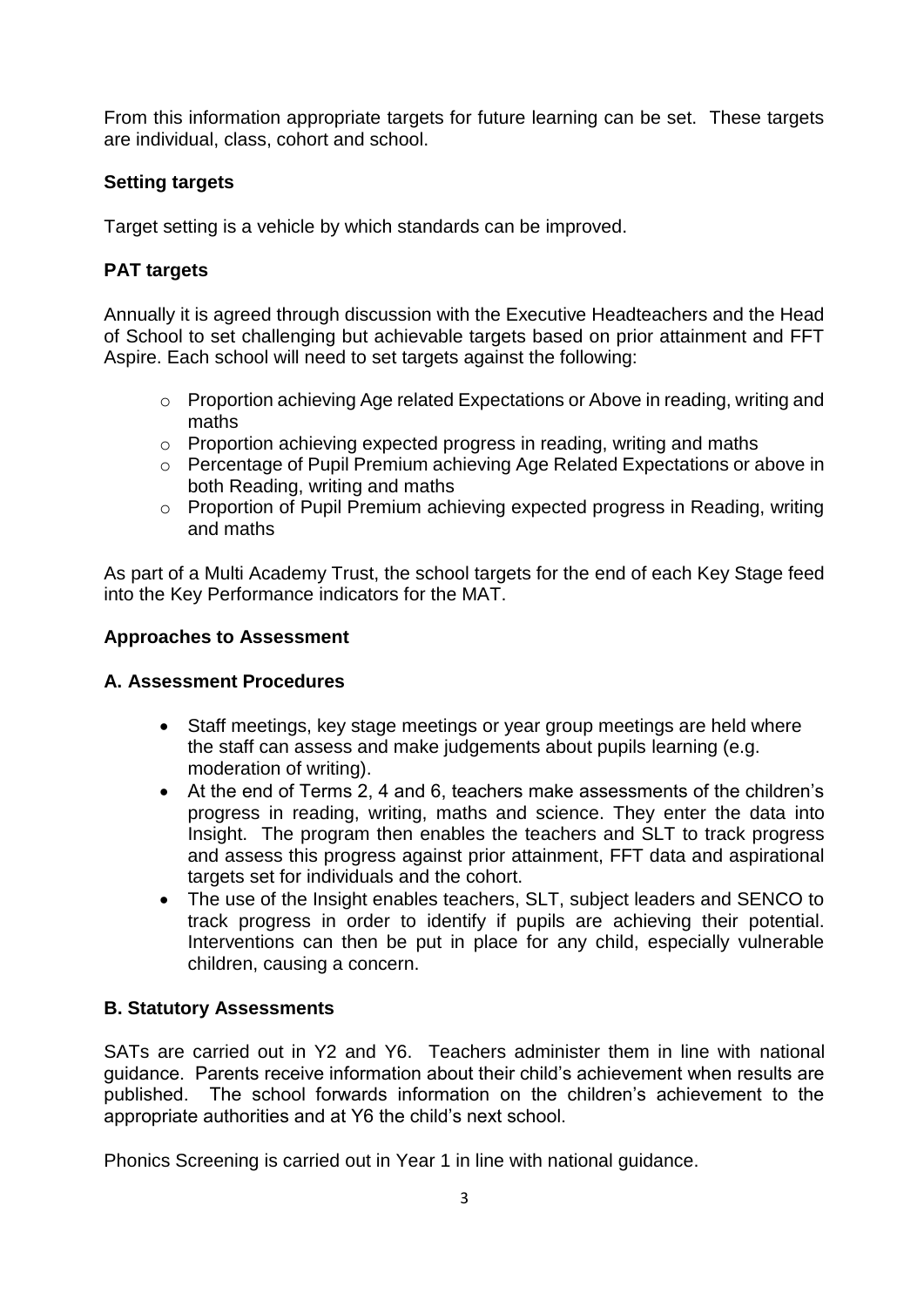From this information appropriate targets for future learning can be set. These targets are individual, class, cohort and school.

#### **Setting targets**

Target setting is a vehicle by which standards can be improved.

### **PAT targets**

Annually it is agreed through discussion with the Executive Headteachers and the Head of School to set challenging but achievable targets based on prior attainment and FFT Aspire. Each school will need to set targets against the following:

- o Proportion achieving Age related Expectations or Above in reading, writing and maths
- o Proportion achieving expected progress in reading, writing and maths
- o Percentage of Pupil Premium achieving Age Related Expectations or above in both Reading, writing and maths
- o Proportion of Pupil Premium achieving expected progress in Reading, writing and maths

As part of a Multi Academy Trust, the school targets for the end of each Key Stage feed into the Key Performance indicators for the MAT.

#### **Approaches to Assessment**

#### **A. Assessment Procedures**

- Staff meetings, key stage meetings or year group meetings are held where the staff can assess and make judgements about pupils learning (e.g. moderation of writing).
- At the end of Terms 2, 4 and 6, teachers make assessments of the children's progress in reading, writing, maths and science. They enter the data into Insight. The program then enables the teachers and SLT to track progress and assess this progress against prior attainment, FFT data and aspirational targets set for individuals and the cohort.
- The use of the Insight enables teachers, SLT, subject leaders and SENCO to track progress in order to identify if pupils are achieving their potential. Interventions can then be put in place for any child, especially vulnerable children, causing a concern.

#### **B. Statutory Assessments**

SATs are carried out in Y2 and Y6. Teachers administer them in line with national guidance. Parents receive information about their child's achievement when results are published. The school forwards information on the children's achievement to the appropriate authorities and at Y6 the child's next school.

Phonics Screening is carried out in Year 1 in line with national guidance.